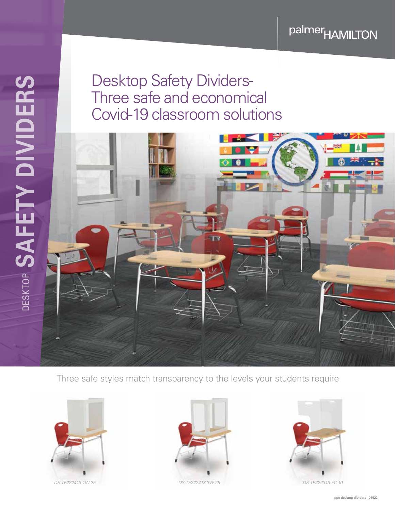palmer<sub>HAMILTON</sub>

## Desktop Safety Dividers-Three safe and economical Covid-19 classroom solutions



Three safe styles match transparency to the levels your students require